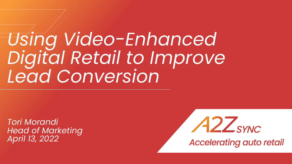# *Using Video-Enhanced Digital Retail to Improve Lead Conversion*

*Tori Morandi Head of Marketing April 13, 2022*



**Accelerating auto retail**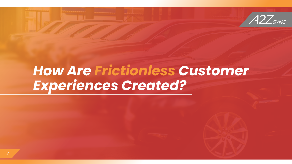

### *How Are Frictionless Customer Experiences Created?*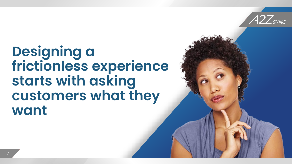

### **Designing a frictionless experience starts with asking customers what they want**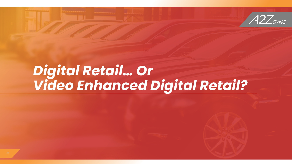



### *Digital Retail… Or Video Enhanced Digital Retail?*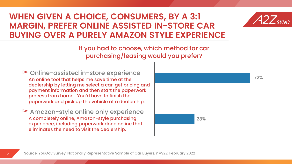#### **WHEN GIVEN A CHOICE, CONSUMERS, BY A 3:1 MARGIN, PREFER ONLINE ASSISTED IN-STORE CAR BUYING OVER A PURELY AMAZON STYLE EXPERIENCE**



If you had to choose, which method for car purchasing/leasing would you prefer?

▻Online-assisted in-store experience An online tool that helps me save time at the dealership by letting me select a car, get pricing and payment information and then start the paperwork process from home. You'd have to finish the paperwork and pick up the vehicle at a dealership.

▻Amazon-style online only experience A completely online, Amazon-style purchasing **28%** experience, including paperwork done online that eliminates the need to visit the dealership.

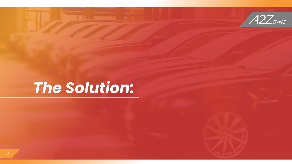



## *The Solution:*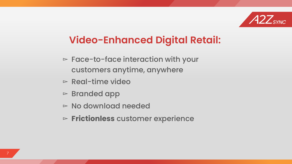

### **Video-Enhanced Digital Retail:**

- ▻ Face-to-face interaction with your customers anytime, anywhere
- $\triangleright$  Real-time video
- ▻ Branded app
- ▻ No download needed
- ▻ **Frictionless** customer experience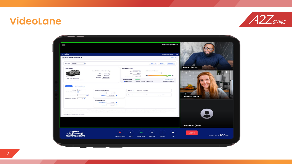### **VideoLane**



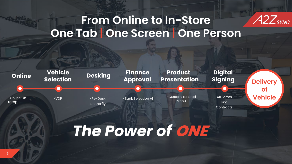#### A2Z<sub>sync</sub> **From Online to In-Store One Tab | One Screen | One Person**



## *The Power of* **ONE**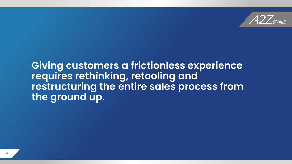

#### **Giving customers a frictionless experience requires rethinking, retooling and restructuring the entire sales process from the ground up.**